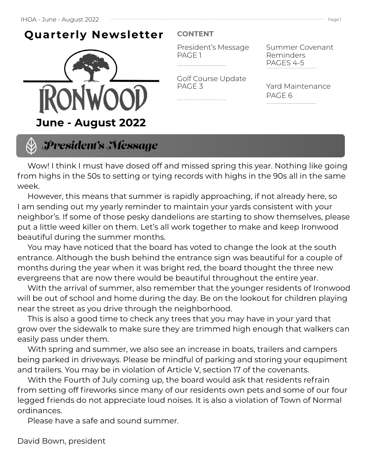# **Quarterly Newsletter**



## **CONTENT**

President's Message PAGE 1

Golf Course Update PAGE 3

Summer Covenant Reminders PAGES 4-5

Yard Maintenance PAGE 6

# *President's Message*

 Wow! I think I must have dosed off and missed spring this year. Nothing like going from highs in the 50s to setting or tying records with highs in the 90s all in the same week.

 However, this means that summer is rapidly approaching, if not already here, so I am sending out my yearly reminder to maintain your yards consistent with your neighbor's. If some of those pesky dandelions are starting to show themselves, please put a little weed killer on them. Let's all work together to make and keep Ironwood beautiful during the summer months.

 You may have noticed that the board has voted to change the look at the south entrance. Although the bush behind the entrance sign was beautiful for a couple of months during the year when it was bright red, the board thought the three new evergreens that are now there would be beautiful throughout the entire year.

 With the arrival of summer, also remember that the younger residents of Ironwood will be out of school and home during the day. Be on the lookout for children playing near the street as you drive through the neighborhood.

 This is also a good time to check any trees that you may have in your yard that grow over the sidewalk to make sure they are trimmed high enough that walkers can easily pass under them.

 With spring and summer, we also see an increase in boats, trailers and campers being parked in driveways. Please be mindful of parking and storing your equpiment and trailers. You may be in violation of Article V, section 17 of the covenants.

 With the Fourth of July coming up, the board would ask that residents refrain from setting off fireworks since many of our residents own pets and some of our four legged friends do not appreciate loud noises. It is also a violation of Town of Normal ordinances.

Please have a safe and sound summer.

David Bown, president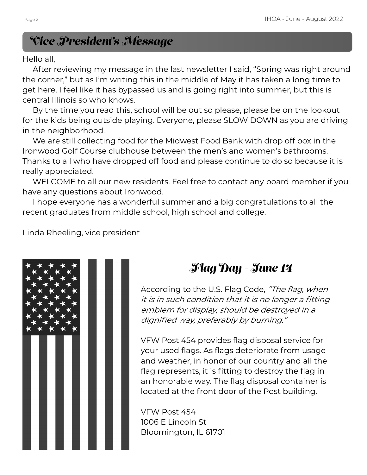## *Vice President's Message*

Hello all,

 After reviewing my message in the last newsletter I said, "Spring was right around the corner," but as I'm writing this in the middle of May it has taken a long time to get here. I feel like it has bypassed us and is going right into summer, but this is central Illinois so who knows.

 By the time you read this, school will be out so please, please be on the lookout for the kids being outside playing. Everyone, please SLOW DOWN as you are driving in the neighborhood.

 We are still collecting food for the Midwest Food Bank with drop off box in the Ironwood Golf Course clubhouse between the men's and women's bathrooms. Thanks to all who have dropped off food and please continue to do so because it is really appreciated.

 WELCOME to all our new residents. Feel free to contact any board member if you have any questions about Ironwood.

 I hope everyone has a wonderful summer and a big congratulations to all the recent graduates from middle school, high school and college.

Linda Rheeling, vice president



# *Flag Day - June 14*

According to the U.S. Flag Code, "The flag, when it is in such condition that it is no longer a fitting emblem for display, should be destroyed in a dignified way, preferably by burning."

VFW Post 454 provides flag disposal service for your used flags. As flags deteriorate from usage and weather, in honor of our country and all the flag represents, it is fitting to destroy the flag in an honorable way. The flag disposal container is located at the front door of the Post building.

VFW Post 454 1006 E Lincoln St Bloomington, IL 61701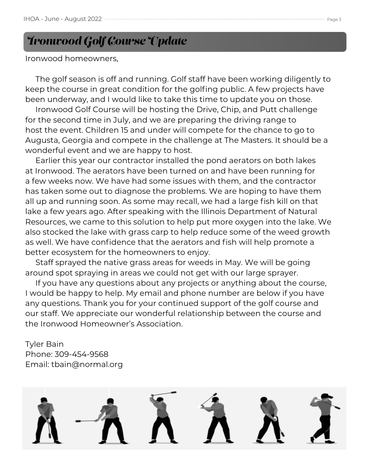## *Ironwood Golf Course Update*

Ironwood homeowners,

 The golf season is off and running. Golf staff have been working diligently to keep the course in great condition for the golfing public. A few projects have been underway, and I would like to take this time to update you on those.

 Ironwood Golf Course will be hosting the Drive, Chip, and Putt challenge for the second time in July, and we are preparing the driving range to host the event. Children 15 and under will compete for the chance to go to Augusta, Georgia and compete in the challenge at The Masters. It should be a wonderful event and we are happy to host.

 Earlier this year our contractor installed the pond aerators on both lakes at Ironwood. The aerators have been turned on and have been running for a few weeks now. We have had some issues with them, and the contractor has taken some out to diagnose the problems. We are hoping to have them all up and running soon. As some may recall, we had a large fish kill on that lake a few years ago. After speaking with the Illinois Department of Natural Resources, we came to this solution to help put more oxygen into the lake. We also stocked the lake with grass carp to help reduce some of the weed growth as well. We have confidence that the aerators and fish will help promote a better ecosystem for the homeowners to enjoy.

 Staff sprayed the native grass areas for weeds in May. We will be going around spot spraying in areas we could not get with our large sprayer.

 If you have any questions about any projects or anything about the course, I would be happy to help. My email and phone number are below if you have any questions. Thank you for your continued support of the golf course and our staff. We appreciate our wonderful relationship between the course and the Ironwood Homeowner's Association.

Tyler Bain Phone: 309-454-9568 Email: tbain@normal.org

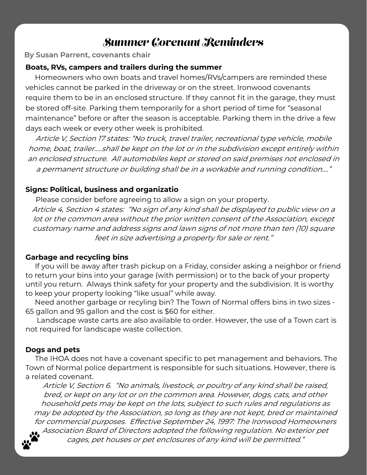## *Summer Covenant Reminders*

**By Susan Parrent, covenants chair**

#### **Boats, RVs, campers and trailers during the summer**

 Homeowners who own boats and travel homes/RVs/campers are reminded these vehicles cannot be parked in the driveway or on the street. Ironwood covenants require them to be in an enclosed structure. If they cannot fit in the garage, they must be stored off-site. Parking them temporarily for a short period of time for "seasonal maintenance" before or after the season is acceptable. Parking them in the drive a few days each week or every other week is prohibited.

Article V, Section 17 states: "No truck, travel trailer, recreational type vehicle, mobile home, boat, trailer…..shall be kept on the lot or in the subdivision except entirely within an enclosed structure. All automobiles kept or stored on said premises not enclosed in a permanent structure or building shall be in a workable and running condition…."

#### **Signs: Political, business and organizatio**

Please consider before agreeing to allow a sign on your property. Article 4, Section 4 states: "No sign of any kind shall be displayed to public view on a lot or the common area without the prior written consent of the Association, except customary name and address signs and lawn signs of not more than ten (10) square feet in size advertising a property for sale or rent."

#### **Garbage and recycling bins**

 If you will be away after trash pickup on a Friday, consider asking a neighbor or friend to return your bins into your garage (with permission) or to the back of your property until you return. Always think safety for your property and the subdivision. It is worthy to keep your property looking "like usual" while away.

 Need another garbage or recyling bin? The Town of Normal offers bins in two sizes - 65 gallon and 95 gallon and the cost is \$60 for either.

 Landscape waste carts are also available to order. However, the use of a Town cart is not required for landscape waste collection.

#### **Dogs and pets**

 The IHOA does not have a covenant specific to pet management and behaviors. The Town of Normal police department is responsible for such situations. However, there is a related covenant.

Article V, Section 6. "No animals, livestock, or poultry of any kind shall be raised, bred, or kept on any lot or on the common area. However, dogs, cats, and other household pets may be kept on the lots, subject to such rules and regulations as may be adopted by the Association, so long as they are not kept, bred or maintained for commercial purposes. Effective September 24, 1997: The Ironwood Homeowners Association Board of Directors adopted the following regulation. No exterior pet cages, pet houses or pet enclosures of any kind will be permitted."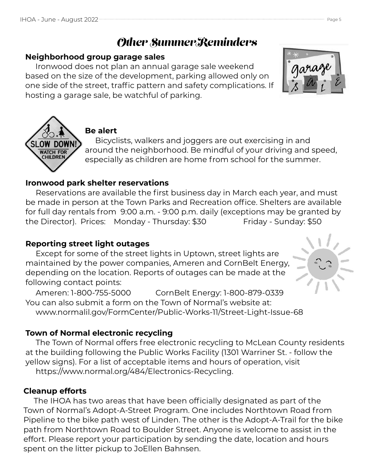## *Other Summer Reminders*

#### **Neighborhood group garage sales**

 Ironwood does not plan an annual garage sale weekend based on the size of the development, parking allowed only on one side of the street, traffic pattern and safety complications. If hosting a garage sale, be watchful of parking.



 Bicyclists, walkers and joggers are out exercising in and around the neighborhood. Be mindful of your driving and speed, especially as children are home from school for the summer.

#### **Ironwood park shelter reservations**

 Reservations are available the first business day in March each year, and must be made in person at the Town Parks and Recreation office. Shelters are available for full day rentals from 9:00 a.m. - 9:00 p.m. daily (exceptions may be granted by the Director). Prices: Monday - Thursday: \$30 Friday - Sunday: \$50

#### **Reporting street light outages**

 Except for some of the street lights in Uptown, street lights are maintained by the power companies, Ameren and CornBelt Energy, depending on the location. Reports of outages can be made at the following contact points:

 Ameren: 1-800-755-5000 CornBelt Energy: 1-800-879-0339 You can also submit a form on the Town of Normal's website at: www.normalil.gov/FormCenter/Public-Works-11/Street-Light-Issue-68

### **Town of Normal electronic recycling**

 The Town of Normal offers free electronic recycling to McLean County residents at the building following the Public Works Facility (1301 Warriner St. - follow the yellow signs). For a list of acceptable items and hours of operation, visit https://www.normal.org/484/Electronics-Recycling.

### **Cleanup efforts**

 The IHOA has two areas that have been officially designated as part of the Town of Normal's Adopt-A-Street Program. One includes Northtown Road from Pipeline to the bike path west of Linden. The other is the Adopt-A-Trail for the bike path from Northtown Road to Boulder Street. Anyone is welcome to assist in the effort. Please report your participation by sending the date, location and hours spent on the litter pickup to JoEllen Bahnsen.



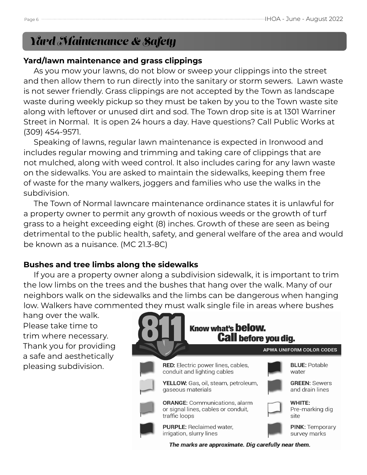# *Yard Maintenance & Safety*

## **Yard/lawn maintenance and grass clippings**

 As you mow your lawns, do not blow or sweep your clippings into the street and then allow them to run directly into the sanitary or storm sewers. Lawn waste is not sewer friendly. Grass clippings are not accepted by the Town as landscape waste during weekly pickup so they must be taken by you to the Town waste site along with leftover or unused dirt and sod. The Town drop site is at 1301 Warriner Street in Normal. It is open 24 hours a day. Have questions? Call Public Works at (309) 454-9571.

 Speaking of lawns, regular lawn maintenance is expected in Ironwood and includes regular mowing and trimming and taking care of clippings that are not mulched, along with weed control. It also includes caring for any lawn waste on the sidewalks. You are asked to maintain the sidewalks, keeping them free of waste for the many walkers, joggers and families who use the walks in the subdivision.

 The Town of Normal lawncare maintenance ordinance states it is unlawful for a property owner to permit any growth of noxious weeds or the growth of turf grass to a height exceeding eight (8) inches. Growth of these are seen as being detrimental to the public health, safety, and general welfare of the area and would be known as a nuisance. (MC 21.3-8C)

## **Bushes and tree limbs along the sidewalks**

 If you are a property owner along a subdivision sidewalk, it is important to trim the low limbs on the trees and the bushes that hang over the walk. Many of our neighbors walk on the sidewalks and the limbs can be dangerous when hanging low. Walkers have commented they must walk single file in areas where bushes

hang over the walk. Please take time to trim where necessary. Thank you for providing a safe and aesthetically pleasing subdivision.



The marks are approximate. Dig carefully near them.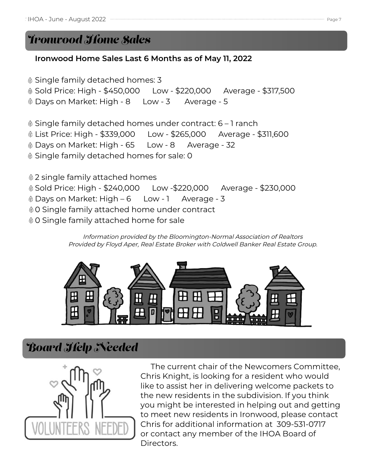## *Ironwood Home Sales*

## **Ironwood Home Sales Last 6 Months as of May 11, 2022**

- Single family detached homes: 3
- Sold Price: High \$450,000 Low \$220,000 Average \$317,500
- Days on Market: High 8 Low 3 Average 5

Single family detached homes under contract: 6 – 1 ranch

- List Price: High \$339,000 Low \$265,000 Average \$311,600
- Days on Market: High 65 Low 8 Average 32
- Single family detached homes for sale: 0
- 2 single family attached homes
- Sold Price: High \$240,000 Low -\$220,000 Average \$230,000
- Days on Market: High 6 Low 1 Average 3
- 0 Single family attached home under contract
- 0 Single family attached home for sale

Information provided by the Bloomington-Normal Association of Realtors Provided by Floyd Aper, Real Estate Broker with Coldwell Banker Real Estate Group.



# *Board Help Needed*



 The current chair of the Newcomers Committee, Chris Knight, is looking for a resident who would like to assist her in delivering welcome packets to the new residents in the subdivision. If you think you might be interested in helping out and getting to meet new residents in Ironwood, please contact Chris for additional information at 309-531-0717 or contact any member of the IHOA Board of Directors.